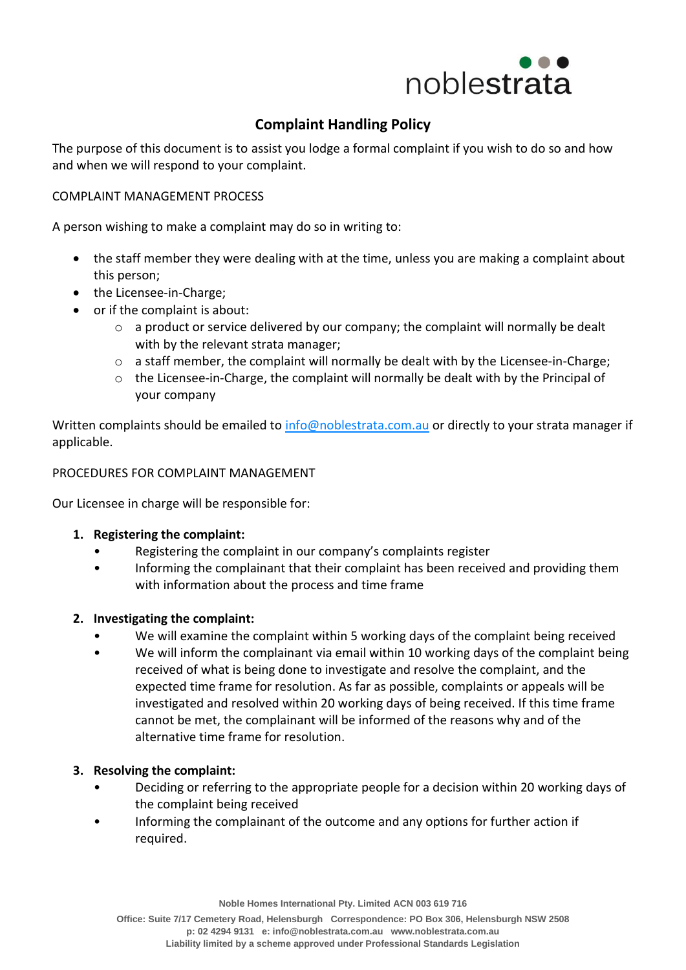

# **Complaint Handling Policy**

The purpose of this document is to assist you lodge a formal complaint if you wish to do so and how and when we will respond to your complaint.

## COMPLAINT MANAGEMENT PROCESS

A person wishing to make a complaint may do so in writing to:

- the staff member they were dealing with at the time, unless you are making a complaint about this person;
- the Licensee-in-Charge;
- or if the complaint is about:
	- o a product or service delivered by our company; the complaint will normally be dealt with by the relevant strata manager;
	- $\circ$  a staff member, the complaint will normally be dealt with by the Licensee-in-Charge;
	- $\circ$  the Licensee-in-Charge, the complaint will normally be dealt with by the Principal of your company

Written complaints should be emailed to [info@noblestrata.com.au](mailto:info@noblestrata.com.au) or directly to your strata manager if applicable.

#### PROCEDURES FOR COMPLAINT MANAGEMENT

Our Licensee in charge will be responsible for:

#### **1. Registering the complaint:**

- Registering the complaint in our company's complaints register
- Informing the complainant that their complaint has been received and providing them with information about the process and time frame

#### **2. Investigating the complaint:**

- We will examine the complaint within 5 working days of the complaint being received
- We will inform the complainant via email within 10 working days of the complaint being received of what is being done to investigate and resolve the complaint, and the expected time frame for resolution. As far as possible, complaints or appeals will be investigated and resolved within 20 working days of being received. If this time frame cannot be met, the complainant will be informed of the reasons why and of the alternative time frame for resolution.

#### **3. Resolving the complaint:**

- Deciding or referring to the appropriate people for a decision within 20 working days of the complaint being received
- Informing the complainant of the outcome and any options for further action if required.

**Noble Homes International Pty. Limited ACN 003 619 716**

**Office: Suite 7/17 Cemetery Road, Helensburgh Correspondence: PO Box 306, Helensburgh NSW 2508 p: 02 4294 9131 e[: info@noblestrata.com.au](mailto:info@noblestrata.com.au) [www.noblestrata.com.au](http://www.noblestrata.com.au/) Liability limited by a scheme approved under Professional Standards Legislation**